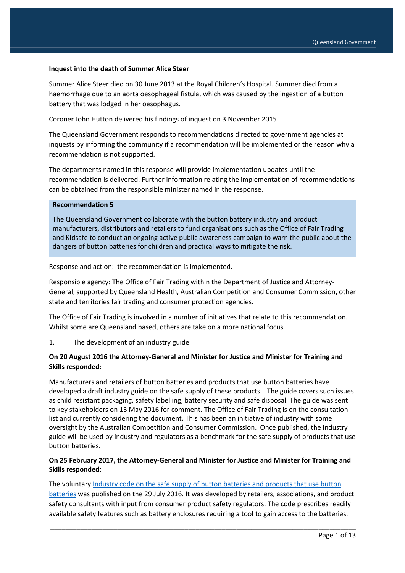#### **Inquest into the death of Summer Alice Steer**

Summer Alice Steer died on 30 June 2013 at the Royal Children's Hospital. Summer died from a haemorrhage due to an aorta oesophageal fistula, which was caused by the ingestion of a button battery that was lodged in her oesophagus.

Coroner John Hutton delivered his findings of inquest on 3 November 2015.

The Queensland Government responds to recommendations directed to government agencies at inquests by informing the community if a recommendation will be implemented or the reason why a recommendation is not supported.

The departments named in this response will provide implementation updates until the recommendation is delivered. Further information relating the implementation of recommendations can be obtained from the responsible minister named in the response.

### **Recommendation 5**

The Queensland Government collaborate with the button battery industry and product manufacturers, distributors and retailers to fund organisations such as the Office of Fair Trading and Kidsafe to conduct an ongoing active public awareness campaign to warn the public about the dangers of button batteries for children and practical ways to mitigate the risk.

Response and action: the recommendation is implemented.

Responsible agency: The Office of Fair Trading within the Department of Justice and Attorney-General, supported by Queensland Health, Australian Competition and Consumer Commission, other state and territories fair trading and consumer protection agencies.

The Office of Fair Trading is involved in a number of initiatives that relate to this recommendation. Whilst some are Queensland based, others are take on a more national focus.

1. The development of an industry guide

#### **On 20 August 2016 the Attorney-General and Minister for Justice and Minister for Training and Skills responded:**

Manufacturers and retailers of button batteries and products that use button batteries have developed a draft industry guide on the safe supply of these products. The guide covers such issues as child resistant packaging, safety labelling, battery security and safe disposal. The guide was sent to key stakeholders on 13 May 2016 for comment. The Office of Fair Trading is on the consultation list and currently considering the document. This has been an initiative of industry with some oversight by the Australian Competition and Consumer Commission. Once published, the industry guide will be used by industry and regulators as a benchmark for the safe supply of products that use button batteries.

#### **On 25 February 2017, the Attorney-General and Minister for Justice and Minister for Training and Skills responded:**

The voluntary [Industry code on the safe supply of button batteries and products that use button](https://www.productsafety.gov.au/publication/industry-code-for-consumer-goods-that-contain-button-batteries)  [batteries](https://www.productsafety.gov.au/publication/industry-code-for-consumer-goods-that-contain-button-batteries) was published on the 29 July 2016. It was developed by retailers, associations, and product safety consultants with input from consumer product safety regulators. The code prescribes readily available safety features such as battery enclosures requiring a tool to gain access to the batteries.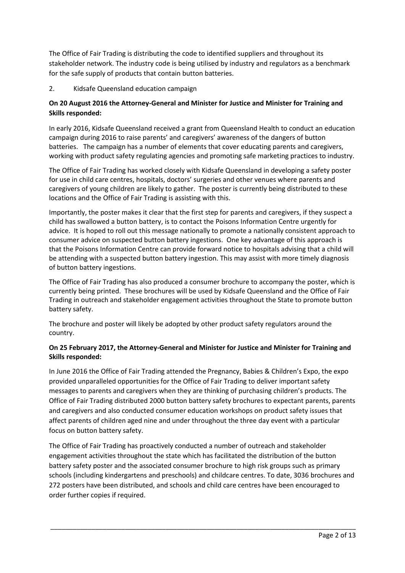The Office of Fair Trading is distributing the code to identified suppliers and throughout its stakeholder network. The industry code is being utilised by industry and regulators as a benchmark for the safe supply of products that contain button batteries.

# 2. Kidsafe Queensland education campaign

# **On 20 August 2016 the Attorney-General and Minister for Justice and Minister for Training and Skills responded:**

In early 2016, Kidsafe Queensland received a grant from Queensland Health to conduct an education campaign during 2016 to raise parents' and caregivers' awareness of the dangers of button batteries.The campaign has a number of elements that cover educating parents and caregivers, working with product safety regulating agencies and promoting safe marketing practices to industry.

The Office of Fair Trading has worked closely with Kidsafe Queensland in developing a safety poster for use in child care centres, hospitals, doctors' surgeries and other venues where parents and caregivers of young children are likely to gather. The poster is currently being distributed to these locations and the Office of Fair Trading is assisting with this.

Importantly, the poster makes it clear that the first step for parents and caregivers, if they suspect a child has swallowed a button battery, is to contact the Poisons Information Centre urgently for advice. It is hoped to roll out this message nationally to promote a nationally consistent approach to consumer advice on suspected button battery ingestions. One key advantage of this approach is that the Poisons Information Centre can provide forward notice to hospitals advising that a child will be attending with a suspected button battery ingestion. This may assist with more timely diagnosis of button battery ingestions.

The Office of Fair Trading has also produced a consumer brochure to accompany the poster, which is currently being printed. These brochures will be used by Kidsafe Queensland and the Office of Fair Trading in outreach and stakeholder engagement activities throughout the State to promote button battery safety.

The brochure and poster will likely be adopted by other product safety regulators around the country.

# **On 25 February 2017, the Attorney-General and Minister for Justice and Minister for Training and Skills responded:**

In June 2016 the Office of Fair Trading attended the Pregnancy, Babies & Children's Expo, the expo provided unparalleled opportunities for the Office of Fair Trading to deliver important safety messages to parents and caregivers when they are thinking of purchasing children's products. The Office of Fair Trading distributed 2000 button battery safety brochures to expectant parents, parents and caregivers and also conducted consumer education workshops on product safety issues that affect parents of children aged nine and under throughout the three day event with a particular focus on button battery safety.

The Office of Fair Trading has proactively conducted a number of outreach and stakeholder engagement activities throughout the state which has facilitated the distribution of the button battery safety poster and the associated consumer brochure to high risk groups such as primary schools (including kindergartens and preschools) and childcare centres. To date, 3036 brochures and 272 posters have been distributed, and schools and child care centres have been encouraged to order further copies if required.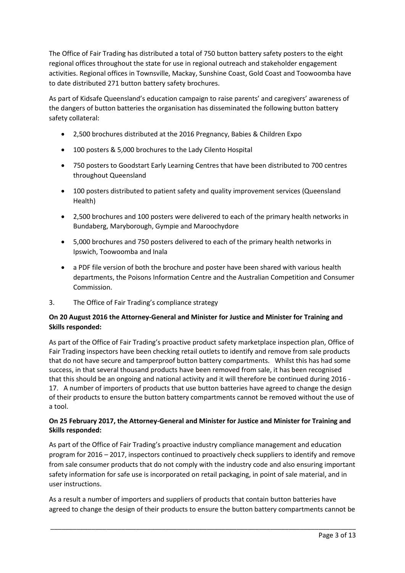The Office of Fair Trading has distributed a total of 750 button battery safety posters to the eight regional offices throughout the state for use in regional outreach and stakeholder engagement activities. Regional offices in Townsville, Mackay, Sunshine Coast, Gold Coast and Toowoomba have to date distributed 271 button battery safety brochures.

As part of Kidsafe Queensland's education campaign to raise parents' and caregivers' awareness of the dangers of button batteries the organisation has disseminated the following button battery safety collateral:

- 2,500 brochures distributed at the 2016 Pregnancy, Babies & Children Expo
- 100 posters & 5,000 brochures to the Lady Cilento Hospital
- 750 posters to Goodstart Early Learning Centres that have been distributed to 700 centres throughout Queensland
- 100 posters distributed to patient safety and quality improvement services (Queensland Health)
- 2,500 brochures and 100 posters were delivered to each of the primary health networks in Bundaberg, Maryborough, Gympie and Maroochydore
- 5,000 brochures and 750 posters delivered to each of the primary health networks in Ipswich, Toowoomba and Inala
- a PDF file version of both the brochure and poster have been shared with various health departments, the Poisons Information Centre and the Australian Competition and Consumer Commission.
- 3. The Office of Fair Trading's compliance strategy

# **On 20 August 2016 the Attorney-General and Minister for Justice and Minister for Training and Skills responded:**

As part of the Office of Fair Trading's proactive product safety marketplace inspection plan, Office of Fair Trading inspectors have been checking retail outlets to identify and remove from sale products that do not have secure and tamperproof button battery compartments. Whilst this has had some success, in that several thousand products have been removed from sale, it has been recognised that this should be an ongoing and national activity and it will therefore be continued during 2016 - 17. A number of importers of products that use button batteries have agreed to change the design of their products to ensure the button battery compartments cannot be removed without the use of a tool.

# **On 25 February 2017, the Attorney-General and Minister for Justice and Minister for Training and Skills responded:**

As part of the Office of Fair Trading's proactive industry compliance management and education program for 2016 – 2017, inspectors continued to proactively check suppliers to identify and remove from sale consumer products that do not comply with the industry code and also ensuring important safety information for safe use is incorporated on retail packaging, in point of sale material, and in user instructions.

As a result a number of importers and suppliers of products that contain button batteries have agreed to change the design of their products to ensure the button battery compartments cannot be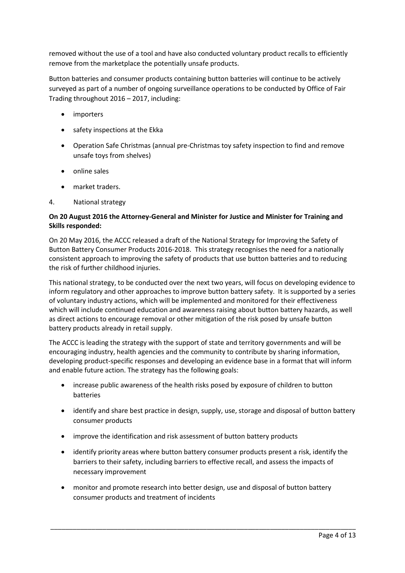removed without the use of a tool and have also conducted voluntary product recalls to efficiently remove from the marketplace the potentially unsafe products.

Button batteries and consumer products containing button batteries will continue to be actively surveyed as part of a number of ongoing surveillance operations to be conducted by Office of Fair Trading throughout 2016 – 2017, including:

- importers
- safety inspections at the Ekka
- Operation Safe Christmas (annual pre-Christmas toy safety inspection to find and remove unsafe toys from shelves)
- $\bullet$  online sales
- market traders.
- 4. National strategy

# **On 20 August 2016 the Attorney-General and Minister for Justice and Minister for Training and Skills responded:**

On 20 May 2016, the ACCC released a draft of the National Strategy for Improving the Safety of Button Battery Consumer Products 2016-2018. This strategy recognises the need for a nationally consistent approach to improving the safety of products that use button batteries and to reducing the risk of further childhood injuries.

This national strategy, to be conducted over the next two years, will focus on developing evidence to inform regulatory and other approaches to improve button battery safety. It is supported by a series of voluntary industry actions, which will be implemented and monitored for their effectiveness which will include continued education and awareness raising about button battery hazards, as well as direct actions to encourage removal or other mitigation of the risk posed by unsafe button battery products already in retail supply.

The ACCC is leading the strategy with the support of state and territory governments and will be encouraging industry, health agencies and the community to contribute by sharing information, developing product-specific responses and developing an evidence base in a format that will inform and enable future action. The strategy has the following goals:

- increase public awareness of the health risks posed by exposure of children to button batteries
- identify and share best practice in design, supply, use, storage and disposal of button battery consumer products
- improve the identification and risk assessment of button battery products
- identify priority areas where button battery consumer products present a risk, identify the barriers to their safety, including barriers to effective recall, and assess the impacts of necessary improvement
- monitor and promote research into better design, use and disposal of button battery consumer products and treatment of incidents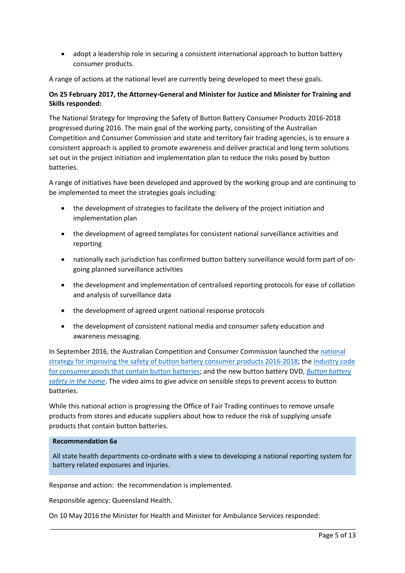adopt a leadership role in securing a consistent international approach to button battery consumer products.

A range of actions at the national level are currently being developed to meet these goals.

# **On 25 February 2017, the Attorney-General and Minister for Justice and Minister for Training and Skills responded:**

The National Strategy for Improving the Safety of Button Battery Consumer Products 2016-2018 progressed during 2016. The main goal of the working party, consisting of the Australian Competition and Consumer Commission and state and territory fair trading agencies, is to ensure a consistent approach is applied to promote awareness and deliver practical and long term solutions set out in the project initiation and implementation plan to reduce the risks posed by button batteries.

A range of initiatives have been developed and approved by the working group and are continuing to be implemented to meet the strategies goals including:

- the development of strategies to facilitate the delivery of the project initiation and implementation plan
- the development of agreed templates for consistent national surveillance activities and reporting
- nationally each jurisdiction has confirmed button battery surveillance would form part of ongoing planned surveillance activities
- the development and implementation of centralised reporting protocols for ease of collation and analysis of surveillance data
- the development of agreed urgent national response protocols
- the development of consistent national media and consumer safety education and awareness messaging.

In September 2016, the Australian Competition and Consumer Commission launched the national [strategy for improving the safety of button battery consumer products 2016-2018;](https://www.productsafety.gov.au/publication/national-strategy-for-improving-the-safety-of-button-battery-consumer-products) th[e Industry code](http://www.productsafety.gov.au/publication/industry-code-for-consumer-goods-that-contain-button-batteries)  [for consumer goods that contain button batteries;](http://www.productsafety.gov.au/publication/industry-code-for-consumer-goods-that-contain-button-batteries) and the new button battery DVD, *[Button battery](https://www.productsafety.gov.au/news/button-battery-national-strategy)  [safety in the home](https://www.productsafety.gov.au/news/button-battery-national-strategy)*. The video aims to give advice on sensible steps to prevent access to button batteries.

While this national action is progressing the Office of Fair Trading continues to remove unsafe products from stores and educate suppliers about how to reduce the risk of supplying unsafe products that contain button batteries.

#### **Recommendation 6a**

All state health departments co-ordinate with a view to developing a national reporting system for battery related exposures and injuries.

\_\_\_\_\_\_\_\_\_\_\_\_\_\_\_\_\_\_\_\_\_\_\_\_\_\_\_\_\_\_\_\_\_\_\_\_\_\_\_\_\_\_\_\_\_\_\_\_\_\_\_\_\_\_\_\_\_\_\_\_\_\_\_\_\_\_\_\_\_\_\_\_\_\_\_\_\_\_\_\_\_\_

Response and action: the recommendation is implemented.

Responsible agency: Queensland Health.

On 10 May 2016 the Minister for Health and Minister for Ambulance Services responded: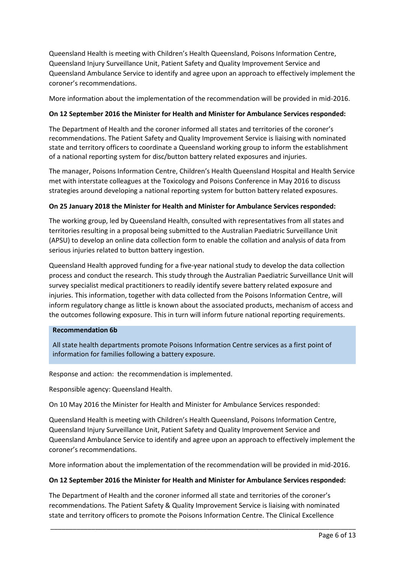Queensland Health is meeting with Children's Health Queensland, Poisons Information Centre, Queensland Injury Surveillance Unit, Patient Safety and Quality Improvement Service and Queensland Ambulance Service to identify and agree upon an approach to effectively implement the coroner's recommendations.

More information about the implementation of the recommendation will be provided in mid-2016.

# **On 12 September 2016 the Minister for Health and Minister for Ambulance Services responded:**

The Department of Health and the coroner informed all states and territories of the coroner's recommendations. The Patient Safety and Quality Improvement Service is liaising with nominated state and territory officers to coordinate a Queensland working group to inform the establishment of a national reporting system for disc/button battery related exposures and injuries.

The manager, Poisons Information Centre, Children's Health Queensland Hospital and Health Service met with interstate colleagues at the Toxicology and Poisons Conference in May 2016 to discuss strategies around developing a national reporting system for button battery related exposures.

## **On 25 January 2018 the Minister for Health and Minister for Ambulance Services responded:**

The working group, led by Queensland Health, consulted with representatives from all states and territories resulting in a proposal being submitted to the Australian Paediatric Surveillance Unit (APSU) to develop an online data collection form to enable the collation and analysis of data from serious injuries related to button battery ingestion.

Queensland Health approved funding for a five-year national study to develop the data collection process and conduct the research. This study through the Australian Paediatric Surveillance Unit will survey specialist medical practitioners to readily identify severe battery related exposure and injuries. This information, together with data collected from the Poisons Information Centre, will inform regulatory change as little is known about the associated products, mechanism of access and the outcomes following exposure. This in turn will inform future national reporting requirements.

#### **Recommendation 6b**

All state health departments promote Poisons Information Centre services as a first point of information for families following a battery exposure.

Response and action: the recommendation is implemented.

Responsible agency: Queensland Health.

On 10 May 2016 the Minister for Health and Minister for Ambulance Services responded:

Queensland Health is meeting with Children's Health Queensland, Poisons Information Centre, Queensland Injury Surveillance Unit, Patient Safety and Quality Improvement Service and Queensland Ambulance Service to identify and agree upon an approach to effectively implement the coroner's recommendations.

More information about the implementation of the recommendation will be provided in mid-2016.

### **On 12 September 2016 the Minister for Health and Minister for Ambulance Services responded:**

The Department of Health and the coroner informed all state and territories of the coroner's recommendations. The Patient Safety & Quality Improvement Service is liaising with nominated state and territory officers to promote the Poisons Information Centre. The Clinical Excellence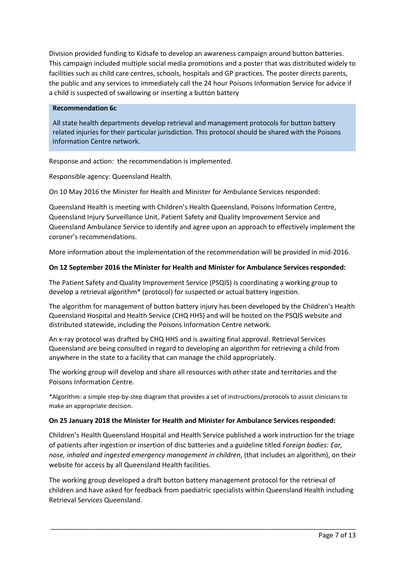Division provided funding to Kidsafe to develop an awareness campaign around button batteries. This campaign included multiple social media promotions and a poster that was distributed widely to facilities such as child care centres, schools, hospitals and GP practices. The poster directs parents, the public and any services to immediately call the 24 hour Poisons Information Service for advice if a child is suspected of swallowing or inserting a button battery

#### **Recommendation 6c**

All state health departments develop retrieval and management protocols for button battery related injuries for their particular jurisdiction. This protocol should be shared with the Poisons Information Centre network.

Response and action: the recommendation is implemented.

Responsible agency: Queensland Health.

On 10 May 2016 the Minister for Health and Minister for Ambulance Services responded:

Queensland Health is meeting with Children's Health Queensland, Poisons Information Centre, Queensland Injury Surveillance Unit, Patient Safety and Quality Improvement Service and Queensland Ambulance Service to identify and agree upon an approach to effectively implement the coroner's recommendations.

More information about the implementation of the recommendation will be provided in mid-2016.

## **On 12 September 2016 the Minister for Health and Minister for Ambulance Services responded:**

The Patient Safety and Quality Improvement Service (PSQIS) is coordinating a working group to develop a retrieval algorithm\* (protocol) for suspected or actual battery ingestion.

The algorithm for management of button battery injury has been developed by the Children's Health Queensland Hospital and Health Service (CHQ HHS) and will be hosted on the PSQIS website and distributed statewide, including the Poisons Information Centre network.

An x-ray protocol was drafted by CHQ HHS and is awaiting final approval. Retrieval Services Queensland are being consulted in regard to developing an algorithm for retrieving a child from anywhere in the state to a facility that can manage the child appropriately.

The working group will develop and share all resources with other state and territories and the Poisons Information Centre.

\*Algorithm: a simple step-by-step diagram that provides a set of instructions/protocols to assist clinicians to make an appropriate decision.

#### **On 25 January 2018 the Minister for Health and Minister for Ambulance Services responded:**

Children's Health Queensland Hospital and Health Service published a work instruction for the triage of patients after ingestion or insertion of disc batteries and a guideline titled *Foreign bodies: Ear, nose, inhaled and ingested emergency management in children*, (that includes an algorithm), on their website for access by all Queensland Health facilities.

The working group developed a draft button battery management protocol for the retrieval of children and have asked for feedback from paediatric specialists within Queensland Health including Retrieval Services Queensland.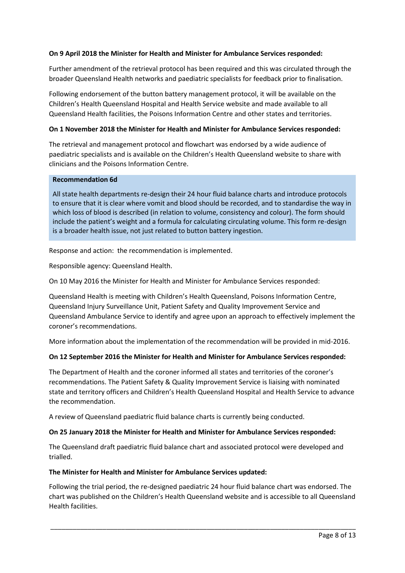## **On 9 April 2018 the Minister for Health and Minister for Ambulance Services responded:**

Further amendment of the retrieval protocol has been required and this was circulated through the broader Queensland Health networks and paediatric specialists for feedback prior to finalisation.

Following endorsement of the button battery management protocol, it will be available on the Children's Health Queensland Hospital and Health Service website and made available to all Queensland Health facilities, the Poisons Information Centre and other states and territories.

### **On 1 November 2018 the Minister for Health and Minister for Ambulance Services responded:**

The retrieval and management protocol and flowchart was endorsed by a wide audience of paediatric specialists and is available on the Children's Health Queensland website to share with clinicians and the Poisons Information Centre.

#### **Recommendation 6d**

All state health departments re-design their 24 hour fluid balance charts and introduce protocols to ensure that it is clear where vomit and blood should be recorded, and to standardise the way in which loss of blood is described (in relation to volume, consistency and colour). The form should include the patient's weight and a formula for calculating circulating volume. This form re-design is a broader health issue, not just related to button battery ingestion.

Response and action: the recommendation is implemented.

Responsible agency: Queensland Health.

On 10 May 2016 the Minister for Health and Minister for Ambulance Services responded:

Queensland Health is meeting with Children's Health Queensland, Poisons Information Centre, Queensland Injury Surveillance Unit, Patient Safety and Quality Improvement Service and Queensland Ambulance Service to identify and agree upon an approach to effectively implement the coroner's recommendations.

More information about the implementation of the recommendation will be provided in mid-2016.

# **On 12 September 2016 the Minister for Health and Minister for Ambulance Services responded:**

The Department of Health and the coroner informed all states and territories of the coroner's recommendations. The Patient Safety & Quality Improvement Service is liaising with nominated state and territory officers and Children's Health Queensland Hospital and Health Service to advance the recommendation.

A review of Queensland paediatric fluid balance charts is currently being conducted.

#### **On 25 January 2018 the Minister for Health and Minister for Ambulance Services responded:**

The Queensland draft paediatric fluid balance chart and associated protocol were developed and trialled.

#### **The Minister for Health and Minister for Ambulance Services updated:**

Following the trial period, the re-designed paediatric 24 hour fluid balance chart was endorsed. The chart was published on the Children's Health Queensland website and is accessible to all Queensland Health facilities.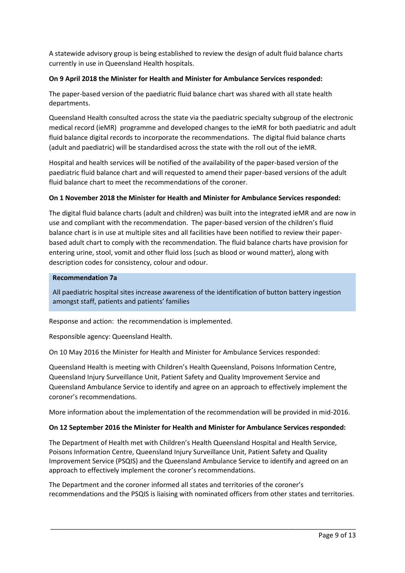A statewide advisory group is being established to review the design of adult fluid balance charts currently in use in Queensland Health hospitals.

# **On 9 April 2018 the Minister for Health and Minister for Ambulance Services responded:**

The paper-based version of the paediatric fluid balance chart was shared with all state health departments.

Queensland Health consulted across the state via the paediatric specialty subgroup of the electronic medical record (ieMR) programme and developed changes to the ieMR for both paediatric and adult fluid balance digital records to incorporate the recommendations. The digital fluid balance charts (adult and paediatric) will be standardised across the state with the roll out of the ieMR.

Hospital and health services will be notified of the availability of the paper-based version of the paediatric fluid balance chart and will requested to amend their paper-based versions of the adult fluid balance chart to meet the recommendations of the coroner.

## **On 1 November 2018 the Minister for Health and Minister for Ambulance Services responded:**

The digital fluid balance charts (adult and children) was built into the integrated ieMR and are now in use and compliant with the recommendation. The paper-based version of the children's fluid balance chart is in use at multiple sites and all facilities have been notified to review their paperbased adult chart to comply with the recommendation. The fluid balance charts have provision for entering urine, stool, vomit and other fluid loss (such as blood or wound matter), along with description codes for consistency, colour and odour.

#### **Recommendation 7a**

All paediatric hospital sites increase awareness of the identification of button battery ingestion amongst staff, patients and patients' families

Response and action: the recommendation is implemented.

Responsible agency: Queensland Health.

On 10 May 2016 the Minister for Health and Minister for Ambulance Services responded:

Queensland Health is meeting with Children's Health Queensland, Poisons Information Centre, Queensland Injury Surveillance Unit, Patient Safety and Quality Improvement Service and Queensland Ambulance Service to identify and agree on an approach to effectively implement the coroner's recommendations.

More information about the implementation of the recommendation will be provided in mid-2016.

#### **On 12 September 2016 the Minister for Health and Minister for Ambulance Services responded:**

The Department of Health met with Children's Health Queensland Hospital and Health Service, Poisons Information Centre, Queensland Injury Surveillance Unit, Patient Safety and Quality Improvement Service (PSQIS) and the Queensland Ambulance Service to identify and agreed on an approach to effectively implement the coroner's recommendations.

The Department and the coroner informed all states and territories of the coroner's recommendations and the PSQIS is liaising with nominated officers from other states and territories.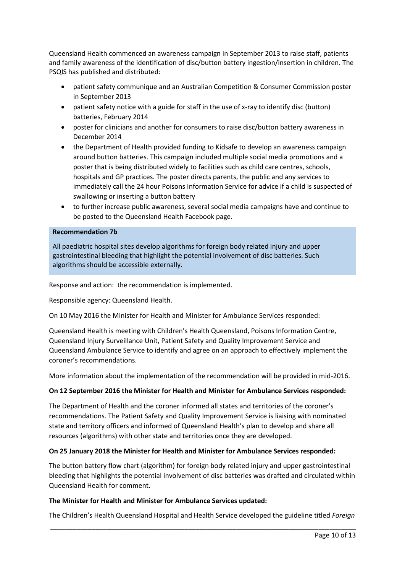Queensland Health commenced an awareness campaign in September 2013 to raise staff, patients and family awareness of the identification of disc/button battery ingestion/insertion in children. The PSQIS has published and distributed:

- patient safety communique and an Australian Competition & Consumer Commission poster in September 2013
- patient safety notice with a guide for staff in the use of x-ray to identify disc (button) batteries, February 2014
- poster for clinicians and another for consumers to raise disc/button battery awareness in December 2014
- the Department of Health provided funding to Kidsafe to develop an awareness campaign around button batteries. This campaign included multiple social media promotions and a poster that is being distributed widely to facilities such as child care centres, schools, hospitals and GP practices. The poster directs parents, the public and any services to immediately call the 24 hour Poisons Information Service for advice if a child is suspected of swallowing or inserting a button battery
- to further increase public awareness, several social media campaigns have and continue to be posted to the Queensland Health Facebook page.

#### **Recommendation 7b**

All paediatric hospital sites develop algorithms for foreign body related injury and upper gastrointestinal bleeding that highlight the potential involvement of disc batteries. Such algorithms should be accessible externally.

Response and action: the recommendation is implemented.

Responsible agency: Queensland Health.

On 10 May 2016 the Minister for Health and Minister for Ambulance Services responded:

Queensland Health is meeting with Children's Health Queensland, Poisons Information Centre, Queensland Injury Surveillance Unit, Patient Safety and Quality Improvement Service and Queensland Ambulance Service to identify and agree on an approach to effectively implement the coroner's recommendations.

More information about the implementation of the recommendation will be provided in mid-2016.

#### **On 12 September 2016 the Minister for Health and Minister for Ambulance Services responded:**

The Department of Health and the coroner informed all states and territories of the coroner's recommendations. The Patient Safety and Quality Improvement Service is liaising with nominated state and territory officers and informed of Queensland Health's plan to develop and share all resources (algorithms) with other state and territories once they are developed.

# **On 25 January 2018 the Minister for Health and Minister for Ambulance Services responded:**

The button battery flow chart (algorithm) for foreign body related injury and upper gastrointestinal bleeding that highlights the potential involvement of disc batteries was drafted and circulated within Queensland Health for comment.

#### **The Minister for Health and Minister for Ambulance Services updated:**

\_\_\_\_\_\_\_\_\_\_\_\_\_\_\_\_\_\_\_\_\_\_\_\_\_\_\_\_\_\_\_\_\_\_\_\_\_\_\_\_\_\_\_\_\_\_\_\_\_\_\_\_\_\_\_\_\_\_\_\_\_\_\_\_\_\_\_\_\_\_\_\_\_\_\_\_\_\_\_\_\_\_ The Children's Health Queensland Hospital and Health Service developed the guideline titled *Foreign*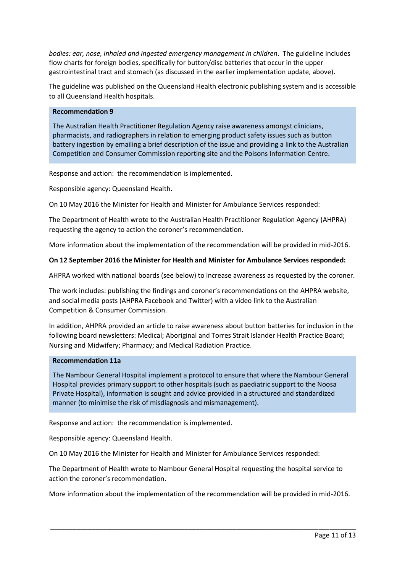*bodies: ear, nose, inhaled and ingested emergency management in children*. The guideline includes flow charts for foreign bodies, specifically for button/disc batteries that occur in the upper gastrointestinal tract and stomach (as discussed in the earlier implementation update, above).

The guideline was published on the Queensland Health electronic publishing system and is accessible to all Queensland Health hospitals.

#### **Recommendation 9**

The Australian Health Practitioner Regulation Agency raise awareness amongst clinicians, pharmacists, and radiographers in relation to emerging product safety issues such as button battery ingestion by emailing a brief description of the issue and providing a link to the Australian Competition and Consumer Commission reporting site and the Poisons Information Centre.

Response and action: the recommendation is implemented.

Responsible agency: Queensland Health.

On 10 May 2016 the Minister for Health and Minister for Ambulance Services responded:

The Department of Health wrote to the Australian Health Practitioner Regulation Agency (AHPRA) requesting the agency to action the coroner's recommendation.

More information about the implementation of the recommendation will be provided in mid-2016.

## **On 12 September 2016 the Minister for Health and Minister for Ambulance Services responded:**

AHPRA worked with national boards (see below) to increase awareness as requested by the coroner.

The work includes: publishing the findings and coroner's recommendations on the AHPRA website, and social media posts (AHPRA Facebook and Twitter) with a video link to the Australian Competition & Consumer Commission.

In addition, AHPRA provided an article to raise awareness about button batteries for inclusion in the following board newsletters: Medical; Aboriginal and Torres Strait Islander Health Practice Board; Nursing and Midwifery; Pharmacy; and Medical Radiation Practice.

#### **Recommendation 11a**

The Nambour General Hospital implement a protocol to ensure that where the Nambour General Hospital provides primary support to other hospitals (such as paediatric support to the Noosa Private Hospital), information is sought and advice provided in a structured and standardized manner (to minimise the risk of misdiagnosis and mismanagement).

Response and action: the recommendation is implemented.

Responsible agency: Queensland Health.

On 10 May 2016 the Minister for Health and Minister for Ambulance Services responded:

The Department of Health wrote to Nambour General Hospital requesting the hospital service to action the coroner's recommendation.

More information about the implementation of the recommendation will be provided in mid-2016.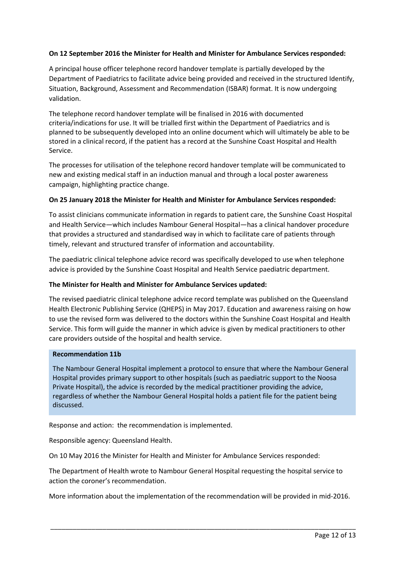# **On 12 September 2016 the Minister for Health and Minister for Ambulance Services responded:**

A principal house officer telephone record handover template is partially developed by the Department of Paediatrics to facilitate advice being provided and received in the structured Identify, Situation, Background, Assessment and Recommendation (ISBAR) format. It is now undergoing validation.

The telephone record handover template will be finalised in 2016 with documented criteria/indications for use. It will be trialled first within the Department of Paediatrics and is planned to be subsequently developed into an online document which will ultimately be able to be stored in a clinical record, if the patient has a record at the Sunshine Coast Hospital and Health Service.

The processes for utilisation of the telephone record handover template will be communicated to new and existing medical staff in an induction manual and through a local poster awareness campaign, highlighting practice change.

#### **On 25 January 2018 the Minister for Health and Minister for Ambulance Services responded:**

To assist clinicians communicate information in regards to patient care, the Sunshine Coast Hospital and Health Service—which includes Nambour General Hospital—has a clinical handover procedure that provides a structured and standardised way in which to facilitate care of patients through timely, relevant and structured transfer of information and accountability.

The paediatric clinical telephone advice record was specifically developed to use when telephone advice is provided by the Sunshine Coast Hospital and Health Service paediatric department.

#### **The Minister for Health and Minister for Ambulance Services updated:**

The revised paediatric clinical telephone advice record template was published on the Queensland Health Electronic Publishing Service (QHEPS) in May 2017. Education and awareness raising on how to use the revised form was delivered to the doctors within the Sunshine Coast Hospital and Health Service. This form will guide the manner in which advice is given by medical practitioners to other care providers outside of the hospital and health service.

#### **Recommendation 11b**

The Nambour General Hospital implement a protocol to ensure that where the Nambour General Hospital provides primary support to other hospitals (such as paediatric support to the Noosa Private Hospital), the advice is recorded by the medical practitioner providing the advice, regardless of whether the Nambour General Hospital holds a patient file for the patient being discussed.

Response and action: the recommendation is implemented.

Responsible agency: Queensland Health.

On 10 May 2016 the Minister for Health and Minister for Ambulance Services responded:

The Department of Health wrote to Nambour General Hospital requesting the hospital service to action the coroner's recommendation.

More information about the implementation of the recommendation will be provided in mid-2016.